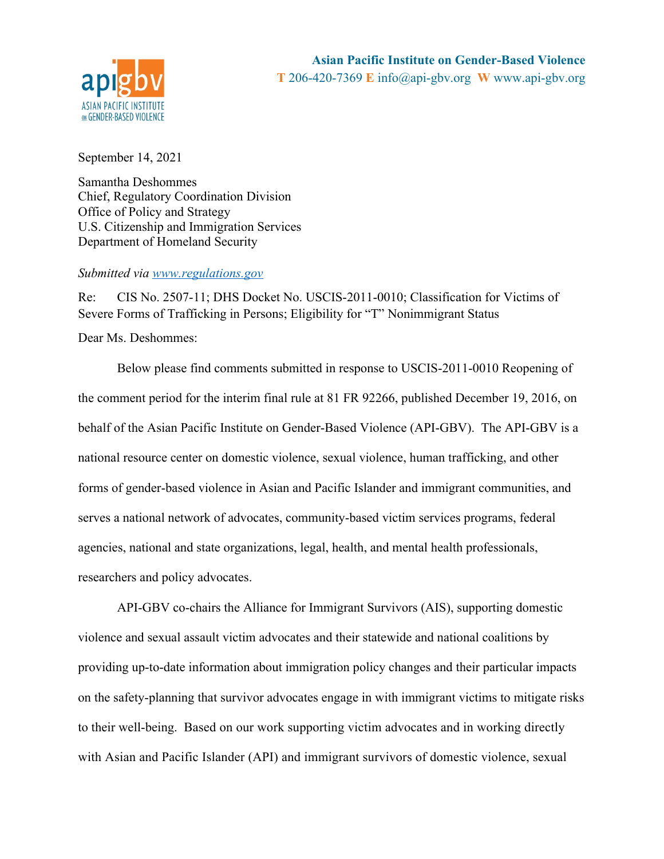

September 14, 2021

Samantha Deshommes Chief, Regulatory Coordination Division Office of Policy and Strategy U.S. Citizenship and Immigration Services Department of Homeland Security

### *Submitted via www.regulations.gov*

Re: CIS No. 2507-11; DHS Docket No. USCIS-2011-0010; Classification for Victims of Severe Forms of Trafficking in Persons; Eligibility for "T" Nonimmigrant Status

Dear Ms. Deshommes:

Below please find comments submitted in response to USCIS-2011-0010 Reopening of the comment period for the interim final rule at 81 FR 92266, published December 19, 2016, on behalf of the Asian Pacific Institute on Gender-Based Violence (API-GBV). The API-GBV is a national resource center on domestic violence, sexual violence, human trafficking, and other forms of gender-based violence in Asian and Pacific Islander and immigrant communities, and serves a national network of advocates, community-based victim services programs, federal agencies, national and state organizations, legal, health, and mental health professionals, researchers and policy advocates.

API-GBV co-chairs the Alliance for Immigrant Survivors (AIS), supporting domestic violence and sexual assault victim advocates and their statewide and national coalitions by providing up-to-date information about immigration policy changes and their particular impacts on the safety-planning that survivor advocates engage in with immigrant victims to mitigate risks to their well-being. Based on our work supporting victim advocates and in working directly with Asian and Pacific Islander (API) and immigrant survivors of domestic violence, sexual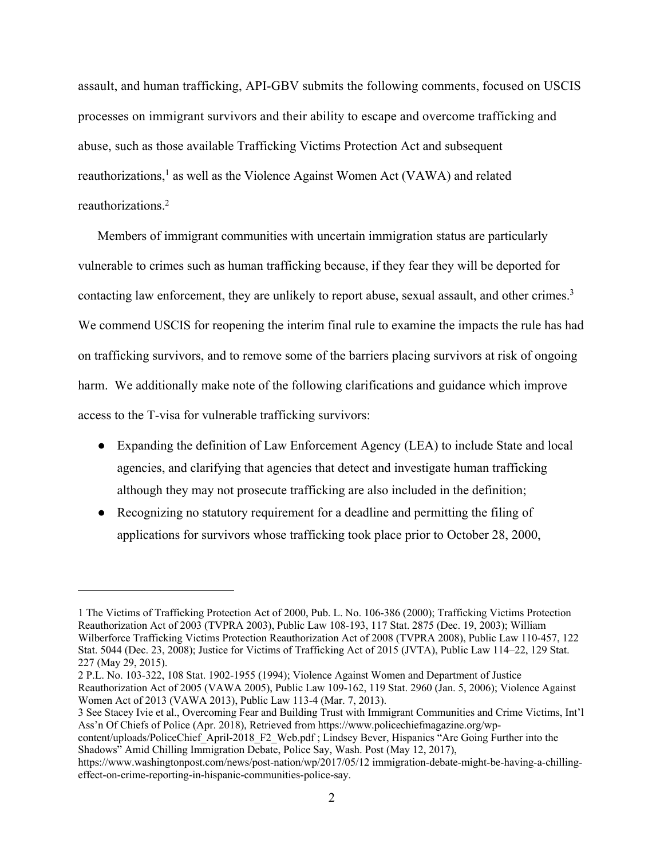assault, and human trafficking, API-GBV submits the following comments, focused on USCIS processes on immigrant survivors and their ability to escape and overcome trafficking and abuse, such as those available Trafficking Victims Protection Act and subsequent reauthorizations, <sup>1</sup> as well as the Violence Against Women Act (VAWA) and related reauthorizations. 2

Members of immigrant communities with uncertain immigration status are particularly vulnerable to crimes such as human trafficking because, if they fear they will be deported for contacting law enforcement, they are unlikely to report abuse, sexual assault, and other crimes.<sup>3</sup> We commend USCIS for reopening the interim final rule to examine the impacts the rule has had on trafficking survivors, and to remove some of the barriers placing survivors at risk of ongoing harm. We additionally make note of the following clarifications and guidance which improve access to the T-visa for vulnerable trafficking survivors:

- Expanding the definition of Law Enforcement Agency (LEA) to include State and local agencies, and clarifying that agencies that detect and investigate human trafficking although they may not prosecute trafficking are also included in the definition;
- Recognizing no statutory requirement for a deadline and permitting the filing of applications for survivors whose trafficking took place prior to October 28, 2000,

content/uploads/PoliceChief\_April-2018\_F2\_Web.pdf ; Lindsey Bever, Hispanics "Are Going Further into the Shadows" Amid Chilling Immigration Debate, Police Say, Wash. Post (May 12, 2017),

https://www.washingtonpost.com/news/post-nation/wp/2017/05/12 immigration-debate-might-be-having-a-chillingeffect-on-crime-reporting-in-hispanic-communities-police-say.

<sup>1</sup> The Victims of Trafficking Protection Act of 2000, Pub. L. No. 106-386 (2000); Trafficking Victims Protection Reauthorization Act of 2003 (TVPRA 2003), Public Law 108-193, 117 Stat. 2875 (Dec. 19, 2003); William Wilberforce Trafficking Victims Protection Reauthorization Act of 2008 (TVPRA 2008), Public Law 110-457, 122 Stat. 5044 (Dec. 23, 2008); Justice for Victims of Trafficking Act of 2015 (JVTA), Public Law 114–22, 129 Stat. 227 (May 29, 2015).

<sup>2</sup> P.L. No. 103-322, 108 Stat. 1902-1955 (1994); Violence Against Women and Department of Justice Reauthorization Act of 2005 (VAWA 2005), Public Law 109-162, 119 Stat. 2960 (Jan. 5, 2006); Violence Against Women Act of 2013 (VAWA 2013), Public Law 113-4 (Mar. 7, 2013).

<sup>3</sup> See Stacey Ivie et al., Overcoming Fear and Building Trust with Immigrant Communities and Crime Victims, Int'l Ass'n Of Chiefs of Police (Apr. 2018), Retrieved from https://www.policechiefmagazine.org/wp-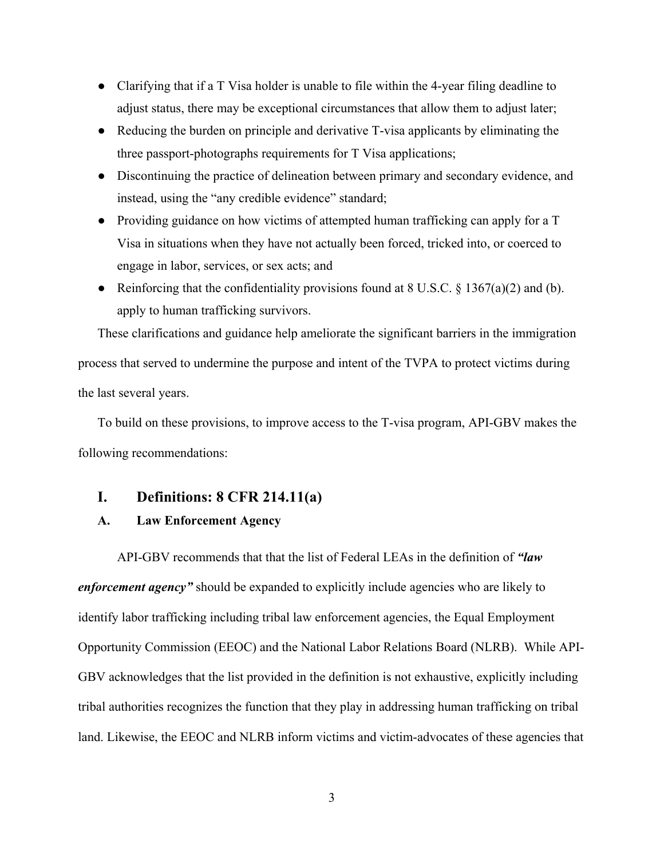- Clarifying that if a T Visa holder is unable to file within the 4-year filing deadline to adjust status, there may be exceptional circumstances that allow them to adjust later;
- Reducing the burden on principle and derivative T-visa applicants by eliminating the three passport-photographs requirements for T Visa applications;
- Discontinuing the practice of delineation between primary and secondary evidence, and instead, using the "any credible evidence" standard;
- Providing guidance on how victims of attempted human trafficking can apply for a T Visa in situations when they have not actually been forced, tricked into, or coerced to engage in labor, services, or sex acts; and
- Reinforcing that the confidentiality provisions found at  $8 \text{ U.S.C.} \$   $\frac{1367(a)(2)}{2}$  and (b). apply to human trafficking survivors.

These clarifications and guidance help ameliorate the significant barriers in the immigration process that served to undermine the purpose and intent of the TVPA to protect victims during the last several years.

To build on these provisions, to improve access to the T-visa program, API-GBV makes the following recommendations:

## **I. Definitions: 8 CFR 214.11(a)**

### **A. Law Enforcement Agency**

API-GBV recommends that that the list of Federal LEAs in the definition of *"law enforcement agency*" should be expanded to explicitly include agencies who are likely to identify labor trafficking including tribal law enforcement agencies, the Equal Employment Opportunity Commission (EEOC) and the National Labor Relations Board (NLRB). While API-GBV acknowledges that the list provided in the definition is not exhaustive, explicitly including tribal authorities recognizes the function that they play in addressing human trafficking on tribal land. Likewise, the EEOC and NLRB inform victims and victim-advocates of these agencies that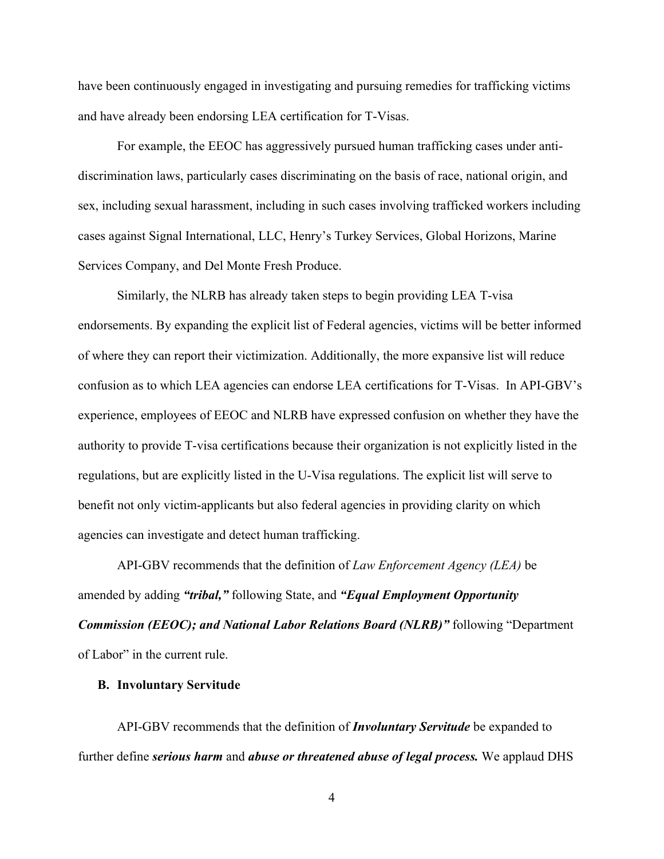have been continuously engaged in investigating and pursuing remedies for trafficking victims and have already been endorsing LEA certification for T-Visas.

For example, the EEOC has aggressively pursued human trafficking cases under antidiscrimination laws, particularly cases discriminating on the basis of race, national origin, and sex, including sexual harassment, including in such cases involving trafficked workers including cases against Signal International, LLC, Henry's Turkey Services, Global Horizons, Marine Services Company, and Del Monte Fresh Produce.

Similarly, the NLRB has already taken steps to begin providing LEA T-visa endorsements. By expanding the explicit list of Federal agencies, victims will be better informed of where they can report their victimization. Additionally, the more expansive list will reduce confusion as to which LEA agencies can endorse LEA certifications for T-Visas. In API-GBV's experience, employees of EEOC and NLRB have expressed confusion on whether they have the authority to provide T-visa certifications because their organization is not explicitly listed in the regulations, but are explicitly listed in the U-Visa regulations. The explicit list will serve to benefit not only victim-applicants but also federal agencies in providing clarity on which agencies can investigate and detect human trafficking.

API-GBV recommends that the definition of *Law Enforcement Agency (LEA)* be amended by adding *"tribal,"* following State, and *"Equal Employment Opportunity Commission (EEOC); and National Labor Relations Board (NLRB)"* following "Department of Labor" in the current rule.

#### **B. Involuntary Servitude**

API-GBV recommends that the definition of *Involuntary Servitude* be expanded to further define *serious harm* and *abuse or threatened abuse of legal process.* We applaud DHS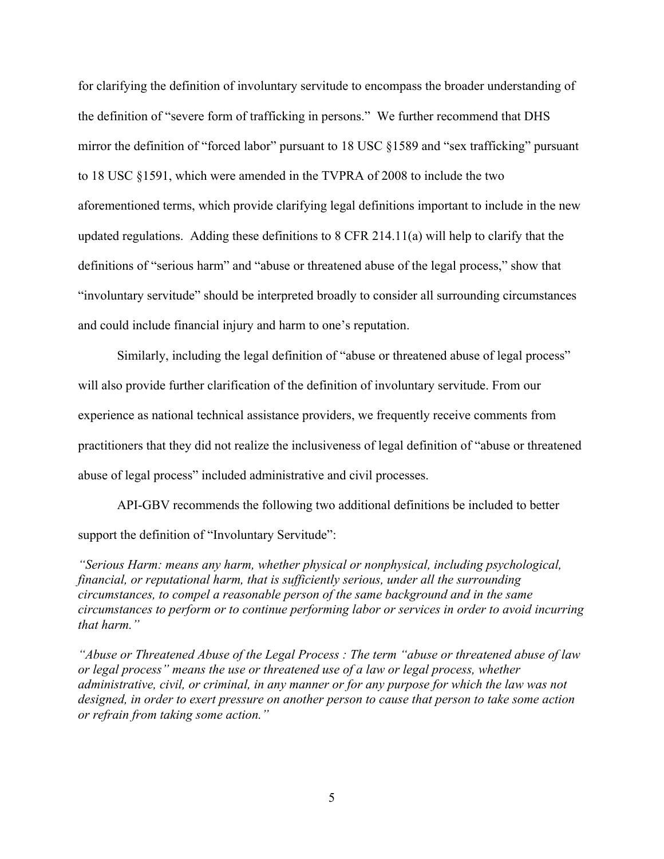for clarifying the definition of involuntary servitude to encompass the broader understanding of the definition of "severe form of trafficking in persons." We further recommend that DHS mirror the definition of "forced labor" pursuant to 18 USC §1589 and "sex trafficking" pursuant to 18 USC §1591, which were amended in the TVPRA of 2008 to include the two aforementioned terms, which provide clarifying legal definitions important to include in the new updated regulations. Adding these definitions to 8 CFR 214.11(a) will help to clarify that the definitions of "serious harm" and "abuse or threatened abuse of the legal process," show that "involuntary servitude" should be interpreted broadly to consider all surrounding circumstances and could include financial injury and harm to one's reputation.

Similarly, including the legal definition of "abuse or threatened abuse of legal process" will also provide further clarification of the definition of involuntary servitude. From our experience as national technical assistance providers, we frequently receive comments from practitioners that they did not realize the inclusiveness of legal definition of "abuse or threatened abuse of legal process" included administrative and civil processes.

API-GBV recommends the following two additional definitions be included to better support the definition of "Involuntary Servitude":

*"Serious Harm: means any harm, whether physical or nonphysical, including psychological, financial, or reputational harm, that is sufficiently serious, under all the surrounding circumstances, to compel a reasonable person of the same background and in the same circumstances to perform or to continue performing labor or services in order to avoid incurring that harm."*

*"Abuse or Threatened Abuse of the Legal Process : The term "abuse or threatened abuse of law or legal process" means the use or threatened use of a law or legal process, whether administrative, civil, or criminal, in any manner or for any purpose for which the law was not designed, in order to exert pressure on another person to cause that person to take some action or refrain from taking some action."*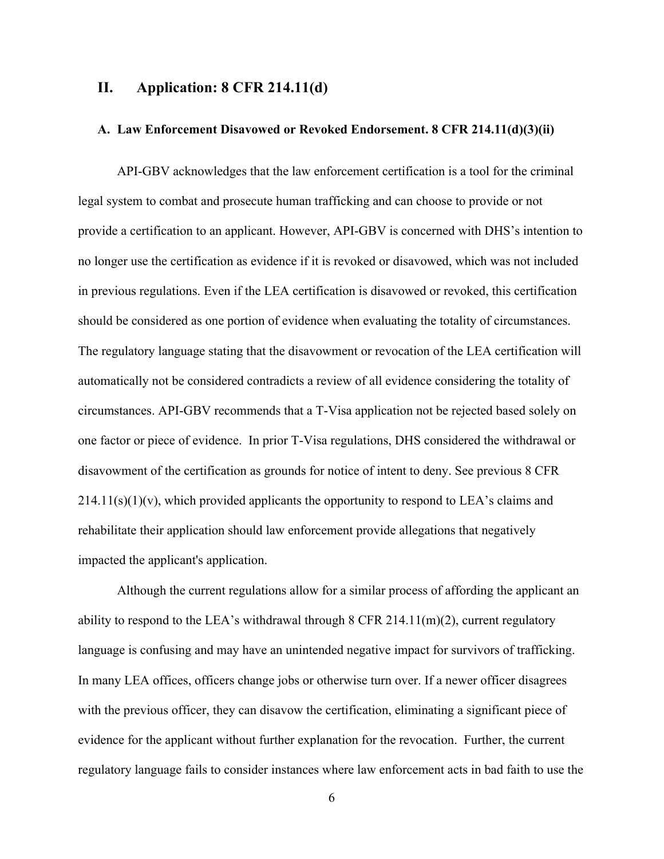## **II. Application: 8 CFR 214.11(d)**

### **A. Law Enforcement Disavowed or Revoked Endorsement. 8 CFR 214.11(d)(3)(ii)**

API-GBV acknowledges that the law enforcement certification is a tool for the criminal legal system to combat and prosecute human trafficking and can choose to provide or not provide a certification to an applicant. However, API-GBV is concerned with DHS's intention to no longer use the certification as evidence if it is revoked or disavowed, which was not included in previous regulations. Even if the LEA certification is disavowed or revoked, this certification should be considered as one portion of evidence when evaluating the totality of circumstances. The regulatory language stating that the disavowment or revocation of the LEA certification will automatically not be considered contradicts a review of all evidence considering the totality of circumstances. API-GBV recommends that a T-Visa application not be rejected based solely on one factor or piece of evidence. In prior T-Visa regulations, DHS considered the withdrawal or disavowment of the certification as grounds for notice of intent to deny. See previous 8 CFR  $214.11(s)(1)(v)$ , which provided applicants the opportunity to respond to LEA's claims and rehabilitate their application should law enforcement provide allegations that negatively impacted the applicant's application.

Although the current regulations allow for a similar process of affording the applicant an ability to respond to the LEA's withdrawal through  $8$  CFR 214.11(m)(2), current regulatory language is confusing and may have an unintended negative impact for survivors of trafficking. In many LEA offices, officers change jobs or otherwise turn over. If a newer officer disagrees with the previous officer, they can disavow the certification, eliminating a significant piece of evidence for the applicant without further explanation for the revocation. Further, the current regulatory language fails to consider instances where law enforcement acts in bad faith to use the

6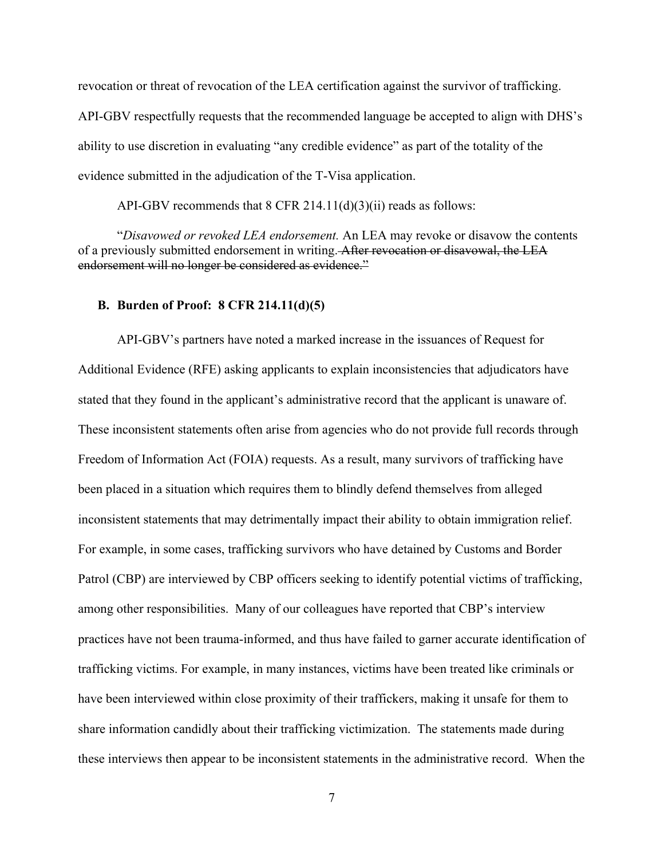revocation or threat of revocation of the LEA certification against the survivor of trafficking. API-GBV respectfully requests that the recommended language be accepted to align with DHS's ability to use discretion in evaluating "any credible evidence" as part of the totality of the evidence submitted in the adjudication of the T-Visa application.

API-GBV recommends that 8 CFR 214.11(d)(3)(ii) reads as follows:

"*Disavowed or revoked LEA endorsement.* An LEA may revoke or disavow the contents of a previously submitted endorsement in writing. After revocation or disavowal, the LEA endorsement will no longer be considered as evidence."

### **B. Burden of Proof: 8 CFR 214.11(d)(5)**

API-GBV's partners have noted a marked increase in the issuances of Request for Additional Evidence (RFE) asking applicants to explain inconsistencies that adjudicators have stated that they found in the applicant's administrative record that the applicant is unaware of. These inconsistent statements often arise from agencies who do not provide full records through Freedom of Information Act (FOIA) requests. As a result, many survivors of trafficking have been placed in a situation which requires them to blindly defend themselves from alleged inconsistent statements that may detrimentally impact their ability to obtain immigration relief. For example, in some cases, trafficking survivors who have detained by Customs and Border Patrol (CBP) are interviewed by CBP officers seeking to identify potential victims of trafficking, among other responsibilities. Many of our colleagues have reported that CBP's interview practices have not been trauma-informed, and thus have failed to garner accurate identification of trafficking victims. For example, in many instances, victims have been treated like criminals or have been interviewed within close proximity of their traffickers, making it unsafe for them to share information candidly about their trafficking victimization. The statements made during these interviews then appear to be inconsistent statements in the administrative record. When the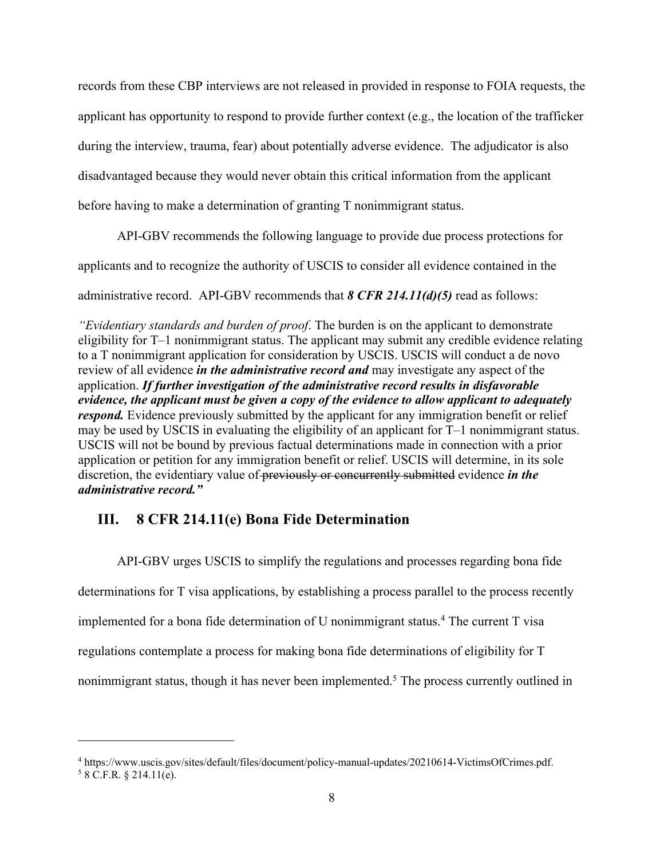records from these CBP interviews are not released in provided in response to FOIA requests, the applicant has opportunity to respond to provide further context (e.g., the location of the trafficker during the interview, trauma, fear) about potentially adverse evidence. The adjudicator is also disadvantaged because they would never obtain this critical information from the applicant before having to make a determination of granting T nonimmigrant status.

API-GBV recommends the following language to provide due process protections for

applicants and to recognize the authority of USCIS to consider all evidence contained in the

administrative record. API-GBV recommends that *8 CFR 214.11(d)(5)* read as follows:

*"Evidentiary standards and burden of proof*. The burden is on the applicant to demonstrate eligibility for T–1 nonimmigrant status. The applicant may submit any credible evidence relating to a T nonimmigrant application for consideration by USCIS. USCIS will conduct a de novo review of all evidence *in the administrative record and* may investigate any aspect of the application. *If further investigation of the administrative record results in disfavorable evidence, the applicant must be given a copy of the evidence to allow applicant to adequately respond*. Evidence previously submitted by the applicant for any immigration benefit or relief may be used by USCIS in evaluating the eligibility of an applicant for T–1 nonimmigrant status. USCIS will not be bound by previous factual determinations made in connection with a prior application or petition for any immigration benefit or relief. USCIS will determine, in its sole discretion, the evidentiary value of previously or concurrently submitted evidence *in the administrative record."*

# **III. 8 CFR 214.11(e) Bona Fide Determination**

API-GBV urges USCIS to simplify the regulations and processes regarding bona fide determinations for T visa applications, by establishing a process parallel to the process recently implemented for a bona fide determination of U nonimmigrant status.<sup>4</sup> The current T visa regulations contemplate a process for making bona fide determinations of eligibility for T nonimmigrant status, though it has never been implemented.<sup>5</sup> The process currently outlined in

<sup>4</sup> https://www.uscis.gov/sites/default/files/document/policy-manual-updates/20210614-VictimsOfCrimes.pdf.  $58$  C.F.R. § 214.11(e).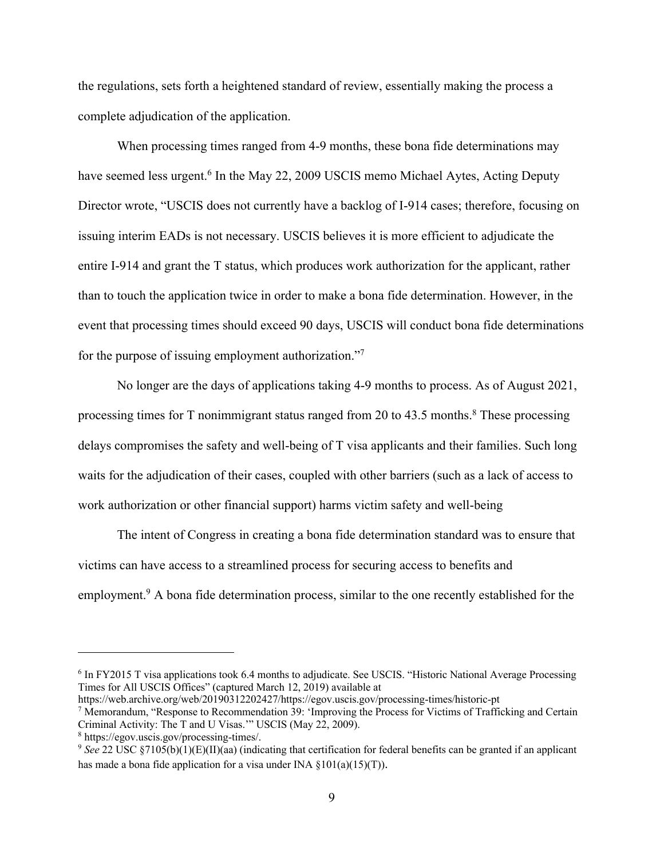the regulations, sets forth a heightened standard of review, essentially making the process a complete adjudication of the application.

When processing times ranged from 4-9 months, these bona fide determinations may have seemed less urgent.<sup>6</sup> In the May 22, 2009 USCIS memo Michael Aytes, Acting Deputy Director wrote, "USCIS does not currently have a backlog of I-914 cases; therefore, focusing on issuing interim EADs is not necessary. USCIS believes it is more efficient to adjudicate the entire I-914 and grant the T status, which produces work authorization for the applicant, rather than to touch the application twice in order to make a bona fide determination. However, in the event that processing times should exceed 90 days, USCIS will conduct bona fide determinations for the purpose of issuing employment authorization."7

No longer are the days of applications taking 4-9 months to process. As of August 2021, processing times for T nonimmigrant status ranged from 20 to  $43.5$  months.<sup>8</sup> These processing delays compromises the safety and well-being of T visa applicants and their families. Such long waits for the adjudication of their cases, coupled with other barriers (such as a lack of access to work authorization or other financial support) harms victim safety and well-being

The intent of Congress in creating a bona fide determination standard was to ensure that victims can have access to a streamlined process for securing access to benefits and employment.<sup>9</sup> A bona fide determination process, similar to the one recently established for the

<sup>7</sup> Memorandum, "Response to Recommendation 39: 'Improving the Process for Victims of Trafficking and Certain Criminal Activity: The T and U Visas.'" USCIS (May 22, 2009).

<sup>&</sup>lt;sup>6</sup> In FY2015 T visa applications took 6.4 months to adjudicate. See USCIS. "Historic National Average Processing Times for All USCIS Offices" (captured March 12, 2019) available at<br>https://web.archive.org/web/20190312202427/https://egov.uscis.gov/processing-times/historic-pt

<sup>8</sup> https://egov.uscis.gov/processing-times/. 9 *See* 22 USC §7105(b)(1)(E)(II)(aa) (indicating that certification for federal benefits can be granted if an applicant has made a bona fide application for a visa under INA  $\{101(a)(15)(T)\}$ .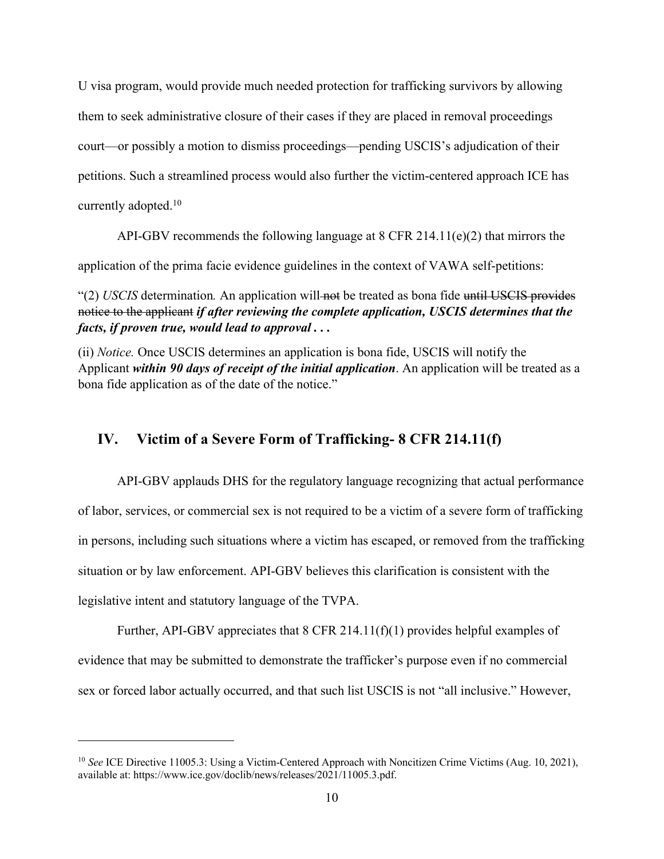U visa program, would provide much needed protection for trafficking survivors by allowing them to seek administrative closure of their cases if they are placed in removal proceedings court—or possibly a motion to dismiss proceedings—pending USCIS's adjudication of their petitions. Such a streamlined process would also further the victim-centered approach ICE has currently adopted.10

API-GBV recommends the following language at 8 CFR 214.11(e)(2) that mirrors the

application of the prima facie evidence guidelines in the context of VAWA self-petitions:

"(2) *USCIS* determination. An application will not be treated as bona fide until USCIS provides notice to the applicant *if after reviewing the complete application, USCIS determines that the facts, if proven true, would lead to approval . . .*

(ii) *Notice.* Once USCIS determines an application is bona fide, USCIS will notify the Applicant *within 90 days of receipt of the initial application*. An application will be treated as a bona fide application as of the date of the notice."

## **IV. Victim of a Severe Form of Trafficking- 8 CFR 214.11(f)**

API-GBV applauds DHS for the regulatory language recognizing that actual performance of labor, services, or commercial sex is not required to be a victim of a severe form of trafficking in persons, including such situations where a victim has escaped, or removed from the trafficking situation or by law enforcement. API-GBV believes this clarification is consistent with the legislative intent and statutory language of the TVPA.

Further, API-GBV appreciates that 8 CFR 214.11(f)(1) provides helpful examples of evidence that may be submitted to demonstrate the trafficker's purpose even if no commercial sex or forced labor actually occurred, and that such list USCIS is not "all inclusive." However,

<sup>&</sup>lt;sup>10</sup> *See* ICE Directive 11005.3: Using a Victim-Centered Approach with Noncitizen Crime Victims (Aug. 10, 2021), available at: https://www.ice.gov/doclib/news/releases/2021/11005.3.pdf.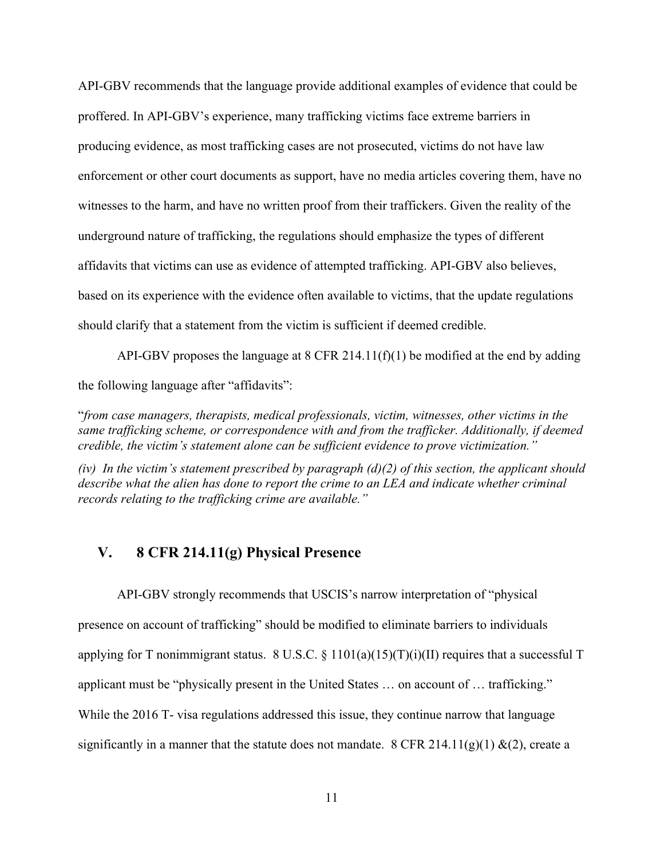API-GBV recommends that the language provide additional examples of evidence that could be proffered. In API-GBV's experience, many trafficking victims face extreme barriers in producing evidence, as most trafficking cases are not prosecuted, victims do not have law enforcement or other court documents as support, have no media articles covering them, have no witnesses to the harm, and have no written proof from their traffickers. Given the reality of the underground nature of trafficking, the regulations should emphasize the types of different affidavits that victims can use as evidence of attempted trafficking. API-GBV also believes, based on its experience with the evidence often available to victims, that the update regulations should clarify that a statement from the victim is sufficient if deemed credible.

API-GBV proposes the language at  $8$  CFR 214.11(f)(1) be modified at the end by adding the following language after "affidavits":

"*from case managers, therapists, medical professionals, victim, witnesses, other victims in the same trafficking scheme, or correspondence with and from the trafficker. Additionally, if deemed credible, the victim's statement alone can be sufficient evidence to prove victimization."*

*(iv) In the victim's statement prescribed by paragraph (d)(2) of this section, the applicant should describe what the alien has done to report the crime to an LEA and indicate whether criminal records relating to the trafficking crime are available."*

## **V. 8 CFR 214.11(g) Physical Presence**

API-GBV strongly recommends that USCIS's narrow interpretation of "physical presence on account of trafficking" should be modified to eliminate barriers to individuals applying for T nonimmigrant status. 8 U.S.C. § 1101(a)(15)(T)(i)(II) requires that a successful T applicant must be "physically present in the United States … on account of … trafficking." While the 2016 T- visa regulations addressed this issue, they continue narrow that language significantly in a manner that the statute does not mandate. 8 CFR 214.11(g)(1) &(2), create a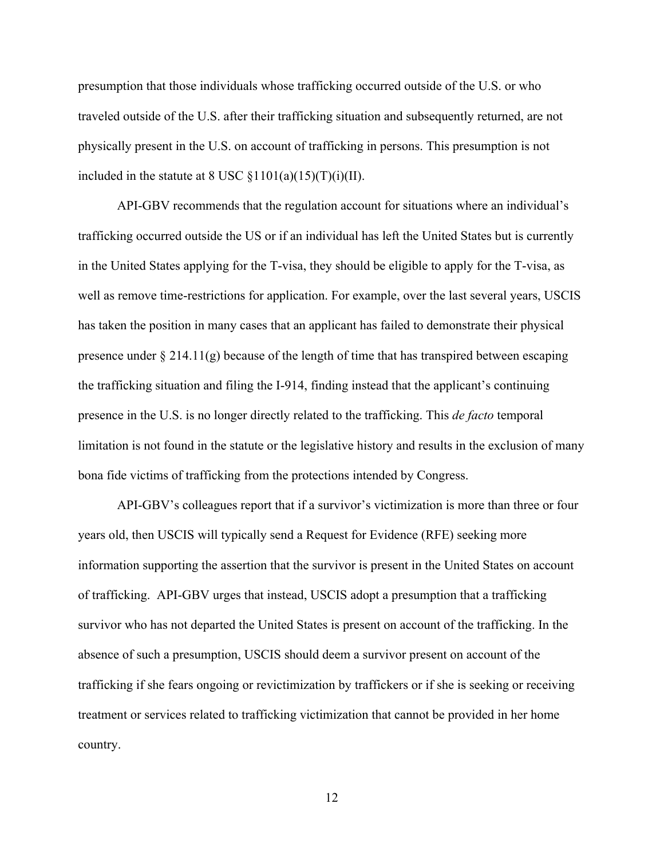presumption that those individuals whose trafficking occurred outside of the U.S. or who traveled outside of the U.S. after their trafficking situation and subsequently returned, are not physically present in the U.S. on account of trafficking in persons. This presumption is not included in the statute at 8 USC  $\S 1101(a)(15)(T)(i)(II)$ .

API-GBV recommends that the regulation account for situations where an individual's trafficking occurred outside the US or if an individual has left the United States but is currently in the United States applying for the T-visa, they should be eligible to apply for the T-visa, as well as remove time-restrictions for application. For example, over the last several years, USCIS has taken the position in many cases that an applicant has failed to demonstrate their physical presence under  $\S 214.11(g)$  because of the length of time that has transpired between escaping the trafficking situation and filing the I-914, finding instead that the applicant's continuing presence in the U.S. is no longer directly related to the trafficking. This *de facto* temporal limitation is not found in the statute or the legislative history and results in the exclusion of many bona fide victims of trafficking from the protections intended by Congress.

API-GBV's colleagues report that if a survivor's victimization is more than three or four years old, then USCIS will typically send a Request for Evidence (RFE) seeking more information supporting the assertion that the survivor is present in the United States on account of trafficking. API-GBV urges that instead, USCIS adopt a presumption that a trafficking survivor who has not departed the United States is present on account of the trafficking. In the absence of such a presumption, USCIS should deem a survivor present on account of the trafficking if she fears ongoing or revictimization by traffickers or if she is seeking or receiving treatment or services related to trafficking victimization that cannot be provided in her home country.

12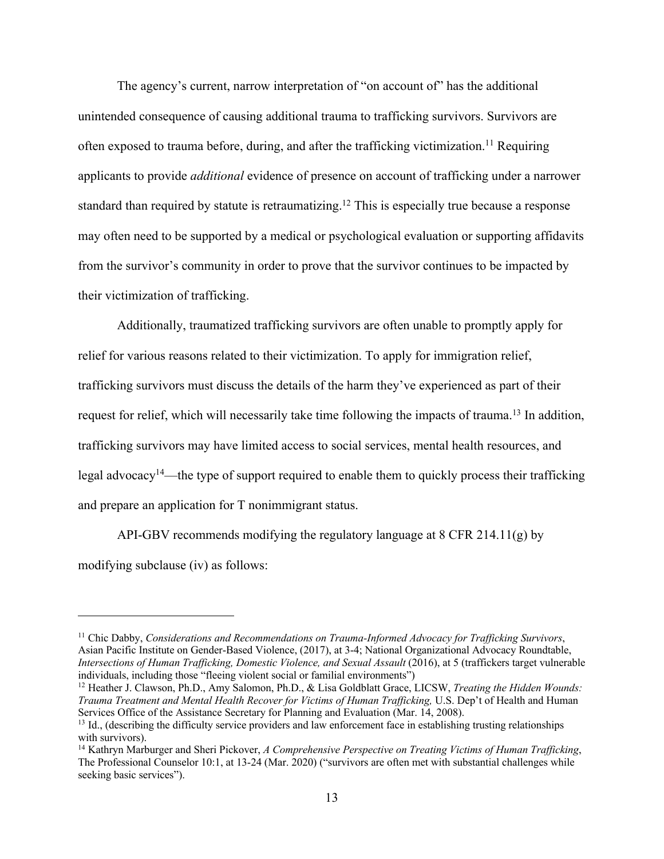The agency's current, narrow interpretation of "on account of" has the additional unintended consequence of causing additional trauma to trafficking survivors. Survivors are often exposed to trauma before, during, and after the trafficking victimization.<sup>11</sup> Requiring applicants to provide *additional* evidence of presence on account of trafficking under a narrower standard than required by statute is retraumatizing.<sup>12</sup> This is especially true because a response may often need to be supported by a medical or psychological evaluation or supporting affidavits from the survivor's community in order to prove that the survivor continues to be impacted by their victimization of trafficking.

Additionally, traumatized trafficking survivors are often unable to promptly apply for relief for various reasons related to their victimization. To apply for immigration relief, trafficking survivors must discuss the details of the harm they've experienced as part of their request for relief, which will necessarily take time following the impacts of trauma.<sup>13</sup> In addition, trafficking survivors may have limited access to social services, mental health resources, and legal advocacy<sup>14</sup>—the type of support required to enable them to quickly process their trafficking and prepare an application for T nonimmigrant status.

API-GBV recommends modifying the regulatory language at  $8$  CFR 214.11(g) by modifying subclause (iv) as follows:

<sup>&</sup>lt;sup>11</sup> Chic Dabby, *Considerations and Recommendations on Trauma-Informed Advocacy for Trafficking Survivors*, Asian Pacific Institute on Gender-Based Violence, (2017), at 3-4; National Organizational Advocacy Roundtable, *Intersections of Human Trafficking, Domestic Violence, and Sexual Assault* (2016), at 5 (traffickers target vulnerable individuals, including those "fleeing violent social or familial environments")

<sup>12</sup> Heather J. Clawson, Ph.D., Amy Salomon, Ph.D., & Lisa Goldblatt Grace, LICSW, *Treating the Hidden Wounds: Trauma Treatment and Mental Health Recover for Victims of Human Trafficking,* U.S. Dep't of Health and Human Services Office of the Assistance Secretary for Planning and Evaluation (Mar. 14, 2008).

<sup>&</sup>lt;sup>13</sup> Id., (describing the difficulty service providers and law enforcement face in establishing trusting relationships with survivors).

<sup>14</sup> Kathryn Marburger and Sheri Pickover, *A Comprehensive Perspective on Treating Victims of Human Trafficking*, The Professional Counselor 10:1, at 13-24 (Mar. 2020) ("survivors are often met with substantial challenges while seeking basic services").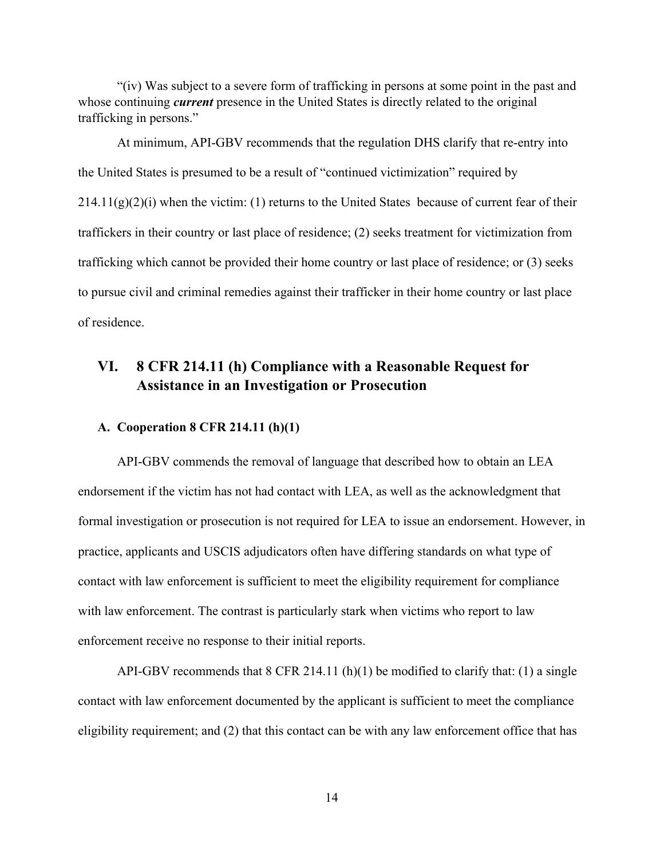"(iv) Was subject to a severe form of trafficking in persons at some point in the past and whose continuing *current* presence in the United States is directly related to the original trafficking in persons."

At minimum, API-GBV recommends that the regulation DHS clarify that re-entry into the United States is presumed to be a result of "continued victimization" required by  $214.11(g)(2)(i)$  when the victim: (1) returns to the United States because of current fear of their traffickers in their country or last place of residence; (2) seeks treatment for victimization from trafficking which cannot be provided their home country or last place of residence; or (3) seeks to pursue civil and criminal remedies against their trafficker in their home country or last place of residence.

# **VI. 8 CFR 214.11 (h) Compliance with a Reasonable Request for Assistance in an Investigation or Prosecution**

### **A. Cooperation 8 CFR 214.11 (h)(1)**

API-GBV commends the removal of language that described how to obtain an LEA endorsement if the victim has not had contact with LEA, as well as the acknowledgment that formal investigation or prosecution is not required for LEA to issue an endorsement. However, in practice, applicants and USCIS adjudicators often have differing standards on what type of contact with law enforcement is sufficient to meet the eligibility requirement for compliance with law enforcement. The contrast is particularly stark when victims who report to law enforcement receive no response to their initial reports.

API-GBV recommends that  $8$  CFR 214.11 (h)(1) be modified to clarify that: (1) a single contact with law enforcement documented by the applicant is sufficient to meet the compliance eligibility requirement; and (2) that this contact can be with any law enforcement office that has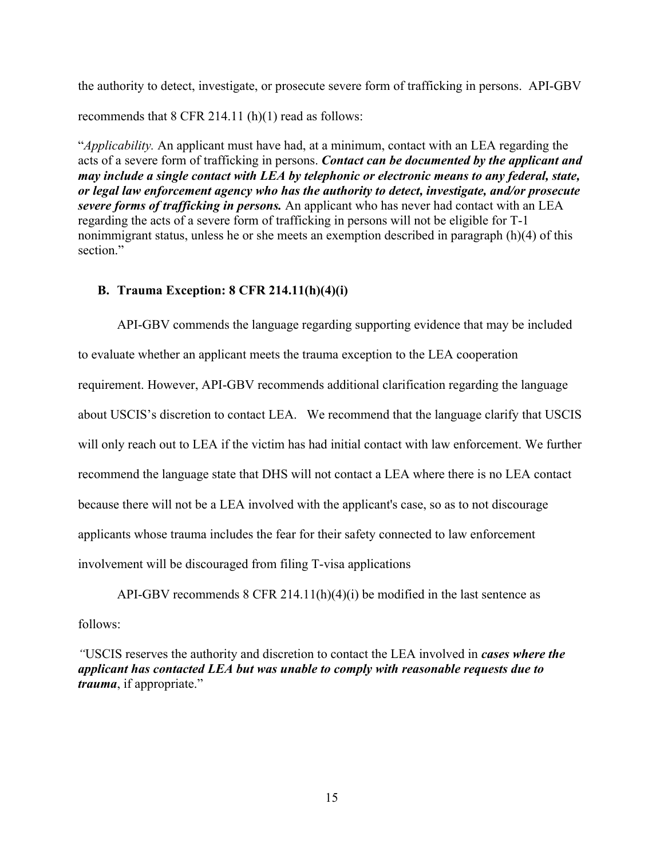the authority to detect, investigate, or prosecute severe form of trafficking in persons. API-GBV

recommends that 8 CFR 214.11 (h)(1) read as follows:

"*Applicability.* An applicant must have had, at a minimum, contact with an LEA regarding the acts of a severe form of trafficking in persons. *Contact can be documented by the applicant and may include a single contact with LEA by telephonic or electronic means to any federal, state, or legal law enforcement agency who has the authority to detect, investigate, and/or prosecute severe forms of trafficking in persons.* An applicant who has never had contact with an LEA regarding the acts of a severe form of trafficking in persons will not be eligible for T-1 nonimmigrant status, unless he or she meets an exemption described in paragraph (h)(4) of this section."

## **B. Trauma Exception: 8 CFR 214.11(h)(4)(i)**

API-GBV commends the language regarding supporting evidence that may be included to evaluate whether an applicant meets the trauma exception to the LEA cooperation requirement. However, API-GBV recommends additional clarification regarding the language about USCIS's discretion to contact LEA. We recommend that the language clarify that USCIS will only reach out to LEA if the victim has had initial contact with law enforcement. We further recommend the language state that DHS will not contact a LEA where there is no LEA contact because there will not be a LEA involved with the applicant's case, so as to not discourage applicants whose trauma includes the fear for their safety connected to law enforcement involvement will be discouraged from filing T-visa applications

API-GBV recommends  $8$  CFR 214.11(h)(4)(i) be modified in the last sentence as follows:

*"*USCIS reserves the authority and discretion to contact the LEA involved in *cases where the applicant has contacted LEA but was unable to comply with reasonable requests due to trauma*, if appropriate."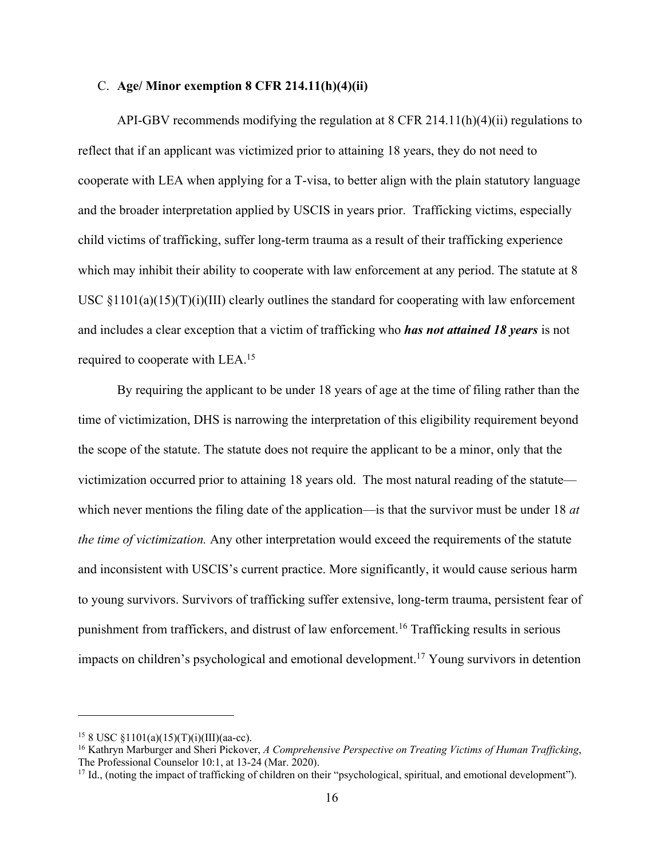### C. **Age/ Minor exemption 8 CFR 214.11(h)(4)(ii)**

API-GBV recommends modifying the regulation at 8 CFR 214.11(h)(4)(ii) regulations to reflect that if an applicant was victimized prior to attaining 18 years, they do not need to cooperate with LEA when applying for a T-visa, to better align with the plain statutory language and the broader interpretation applied by USCIS in years prior. Trafficking victims, especially child victims of trafficking, suffer long-term trauma as a result of their trafficking experience which may inhibit their ability to cooperate with law enforcement at any period. The statute at 8 USC  $\S1101(a)(15)(T)(i)(III)$  clearly outlines the standard for cooperating with law enforcement and includes a clear exception that a victim of trafficking who *has not attained 18 years* is not required to cooperate with LEA.15

By requiring the applicant to be under 18 years of age at the time of filing rather than the time of victimization, DHS is narrowing the interpretation of this eligibility requirement beyond the scope of the statute. The statute does not require the applicant to be a minor, only that the victimization occurred prior to attaining 18 years old. The most natural reading of the statute which never mentions the filing date of the application—is that the survivor must be under 18 *at the time of victimization.* Any other interpretation would exceed the requirements of the statute and inconsistent with USCIS's current practice. More significantly, it would cause serious harm to young survivors. Survivors of trafficking suffer extensive, long-term trauma, persistent fear of punishment from traffickers, and distrust of law enforcement.16 Trafficking results in serious impacts on children's psychological and emotional development.<sup>17</sup> Young survivors in detention

<sup>&</sup>lt;sup>15</sup> 8 USC §1101(a)(15)(T)(i)(III)(aa-cc).<br><sup>16</sup> Kathryn Marburger and Sheri Pickover, *A Comprehensive Perspective on Treating Victims of Human Trafficking*, The Professional Counselor 10:1, at 13-24 (Mar. 2020).

<sup>&</sup>lt;sup>17</sup> Id., (noting the impact of trafficking of children on their "psychological, spiritual, and emotional development").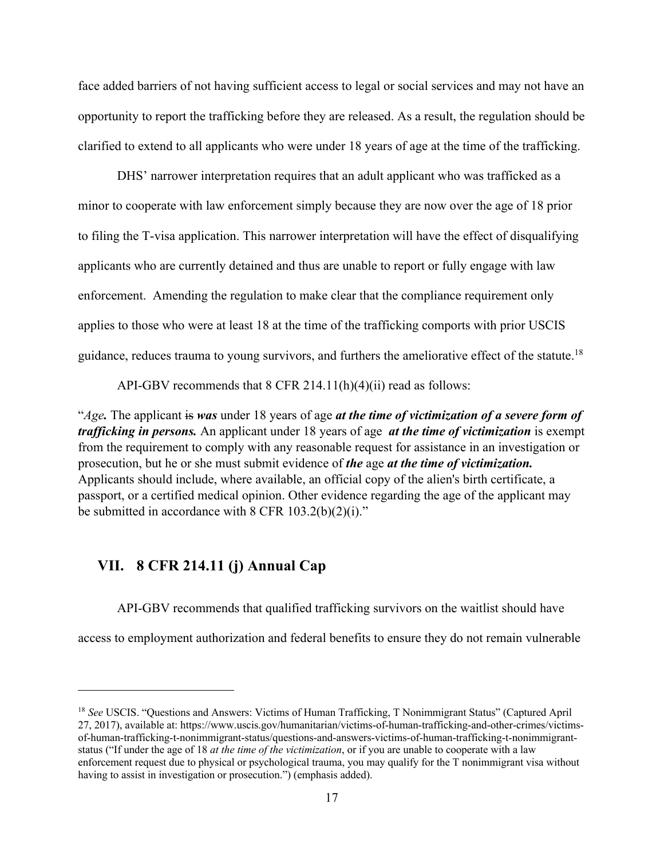face added barriers of not having sufficient access to legal or social services and may not have an opportunity to report the trafficking before they are released. As a result, the regulation should be clarified to extend to all applicants who were under 18 years of age at the time of the trafficking.

DHS' narrower interpretation requires that an adult applicant who was trafficked as a minor to cooperate with law enforcement simply because they are now over the age of 18 prior to filing the T-visa application. This narrower interpretation will have the effect of disqualifying applicants who are currently detained and thus are unable to report or fully engage with law enforcement. Amending the regulation to make clear that the compliance requirement only applies to those who were at least 18 at the time of the trafficking comports with prior USCIS guidance, reduces trauma to young survivors, and furthers the ameliorative effect of the statute.<sup>18</sup>

API-GBV recommends that 8 CFR 214.11(h)(4)(ii) read as follows:

"*Age.* The applicant is *was* under 18 years of age *at the time of victimization of a severe form of trafficking in persons.* An applicant under 18 years of age *at the time of victimization* is exempt from the requirement to comply with any reasonable request for assistance in an investigation or prosecution, but he or she must submit evidence of *the* age *at the time of victimization.* Applicants should include, where available, an official copy of the alien's birth certificate, a passport, or a certified medical opinion. Other evidence regarding the age of the applicant may be submitted in accordance with  $8$  CFR 103.2(b)(2)(i)."

## **VII. 8 CFR 214.11 (j) Annual Cap**

API-GBV recommends that qualified trafficking survivors on the waitlist should have

access to employment authorization and federal benefits to ensure they do not remain vulnerable

<sup>18</sup> *See* USCIS. "Questions and Answers: Victims of Human Trafficking, T Nonimmigrant Status" (Captured April 27, 2017), available at: https://www.uscis.gov/humanitarian/victims-of-human-trafficking-and-other-crimes/victimsof-human-trafficking-t-nonimmigrant-status/questions-and-answers-victims-of-human-trafficking-t-nonimmigrantstatus ("If under the age of 18 *at the time of the victimization*, or if you are unable to cooperate with a law enforcement request due to physical or psychological trauma, you may qualify for the T nonimmigrant visa without having to assist in investigation or prosecution.") (emphasis added).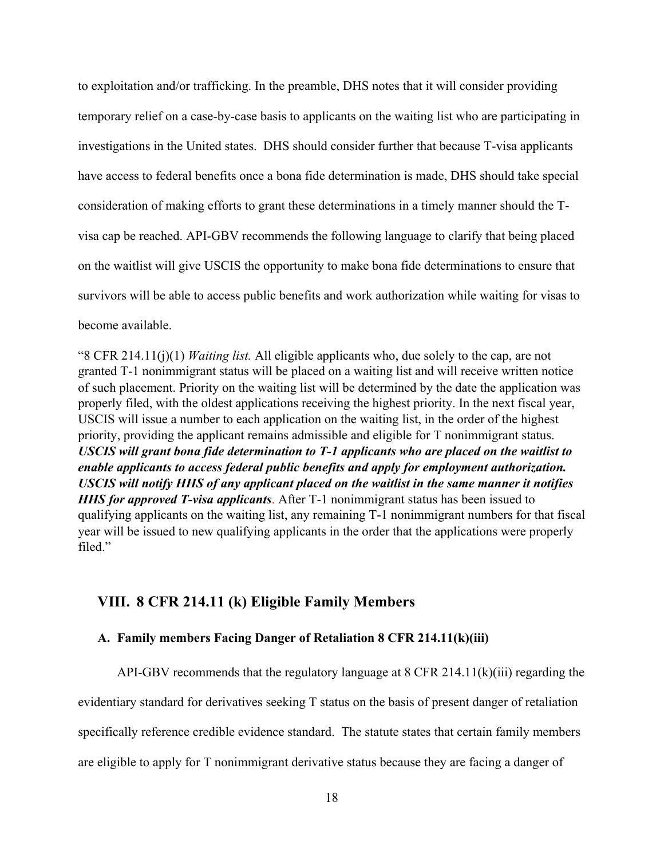to exploitation and/or trafficking. In the preamble, DHS notes that it will consider providing temporary relief on a case-by-case basis to applicants on the waiting list who are participating in investigations in the United states. DHS should consider further that because T-visa applicants have access to federal benefits once a bona fide determination is made, DHS should take special consideration of making efforts to grant these determinations in a timely manner should the Tvisa cap be reached. API-GBV recommends the following language to clarify that being placed on the waitlist will give USCIS the opportunity to make bona fide determinations to ensure that survivors will be able to access public benefits and work authorization while waiting for visas to become available.

"8 CFR 214.11(j)(1) *Waiting list.* All eligible applicants who, due solely to the cap, are not granted T-1 nonimmigrant status will be placed on a waiting list and will receive written notice of such placement. Priority on the waiting list will be determined by the date the application was properly filed, with the oldest applications receiving the highest priority. In the next fiscal year, USCIS will issue a number to each application on the waiting list, in the order of the highest priority, providing the applicant remains admissible and eligible for T nonimmigrant status. *USCIS will grant bona fide determination to T-1 applicants who are placed on the waitlist to enable applicants to access federal public benefits and apply for employment authorization. USCIS will notify HHS of any applicant placed on the waitlist in the same manner it notifies HHS for approved T-visa applicants*. After T-1 nonimmigrant status has been issued to qualifying applicants on the waiting list, any remaining T-1 nonimmigrant numbers for that fiscal year will be issued to new qualifying applicants in the order that the applications were properly filed."

## **VIII. 8 CFR 214.11 (k) Eligible Family Members**

### **A. Family members Facing Danger of Retaliation 8 CFR 214.11(k)(iii)**

API-GBV recommends that the regulatory language at 8 CFR 214.11(k)(iii) regarding the evidentiary standard for derivatives seeking T status on the basis of present danger of retaliation specifically reference credible evidence standard. The statute states that certain family members are eligible to apply for T nonimmigrant derivative status because they are facing a danger of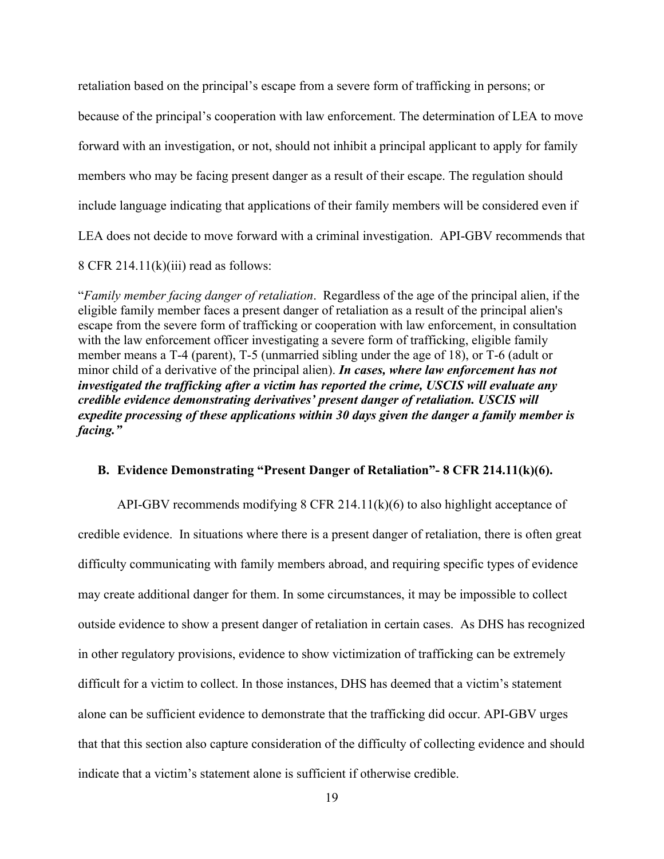retaliation based on the principal's escape from a severe form of trafficking in persons; or because of the principal's cooperation with law enforcement. The determination of LEA to move forward with an investigation, or not, should not inhibit a principal applicant to apply for family members who may be facing present danger as a result of their escape. The regulation should include language indicating that applications of their family members will be considered even if LEA does not decide to move forward with a criminal investigation. API-GBV recommends that 8 CFR 214.11 $(k)(iii)$  read as follows:

"*Family member facing danger of retaliation*. Regardless of the age of the principal alien, if the eligible family member faces a present danger of retaliation as a result of the principal alien's escape from the severe form of trafficking or cooperation with law enforcement, in consultation with the law enforcement officer investigating a severe form of trafficking, eligible family member means a T-4 (parent), T-5 (unmarried sibling under the age of 18), or T-6 (adult or minor child of a derivative of the principal alien). *In cases, where law enforcement has not investigated the trafficking after a victim has reported the crime, USCIS will evaluate any credible evidence demonstrating derivatives' present danger of retaliation. USCIS will expedite processing of these applications within 30 days given the danger a family member is facing."*

### **B. Evidence Demonstrating "Present Danger of Retaliation"- 8 CFR 214.11(k)(6).**

API-GBV recommends modifying 8 CFR 214.11(k)(6) to also highlight acceptance of credible evidence. In situations where there is a present danger of retaliation, there is often great difficulty communicating with family members abroad, and requiring specific types of evidence may create additional danger for them. In some circumstances, it may be impossible to collect outside evidence to show a present danger of retaliation in certain cases. As DHS has recognized in other regulatory provisions, evidence to show victimization of trafficking can be extremely difficult for a victim to collect. In those instances, DHS has deemed that a victim's statement alone can be sufficient evidence to demonstrate that the trafficking did occur. API-GBV urges that that this section also capture consideration of the difficulty of collecting evidence and should indicate that a victim's statement alone is sufficient if otherwise credible.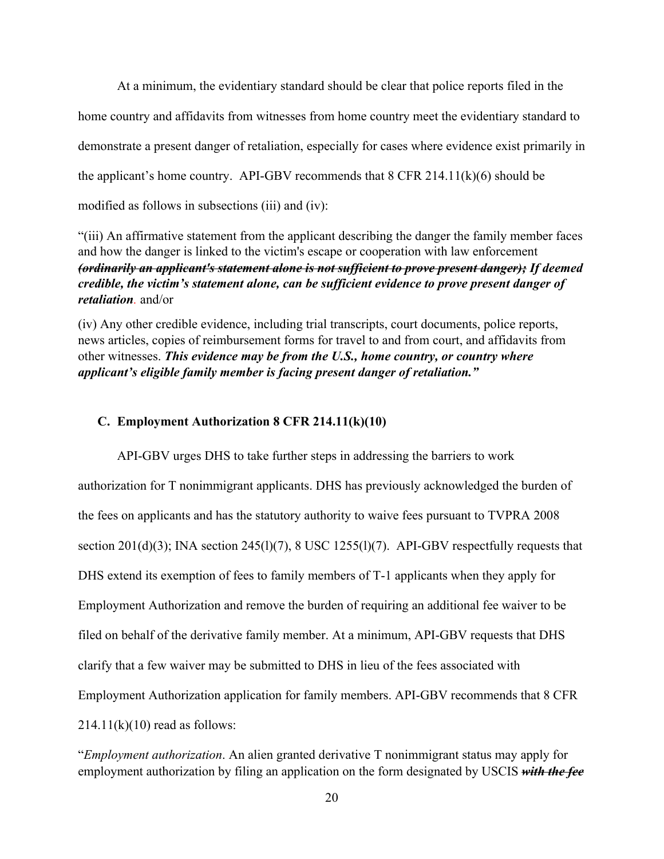At a minimum, the evidentiary standard should be clear that police reports filed in the home country and affidavits from witnesses from home country meet the evidentiary standard to demonstrate a present danger of retaliation, especially for cases where evidence exist primarily in the applicant's home country. API-GBV recommends that  $8$  CFR 214.11( $k$ )(6) should be modified as follows in subsections (iii) and (iv):

"(iii) An affirmative statement from the applicant describing the danger the family member faces and how the danger is linked to the victim's escape or cooperation with law enforcement *(ordinarily an applicant's statement alone is not sufficient to prove present danger); If deemed credible, the victim's statement alone, can be sufficient evidence to prove present danger of retaliation.* and/or

(iv) Any other credible evidence, including trial transcripts, court documents, police reports, news articles, copies of reimbursement forms for travel to and from court, and affidavits from other witnesses. *This evidence may be from the U.S., home country, or country where applicant's eligible family member is facing present danger of retaliation."*

#### **C. Employment Authorization 8 CFR 214.11(k)(10)**

API-GBV urges DHS to take further steps in addressing the barriers to work authorization for T nonimmigrant applicants. DHS has previously acknowledged the burden of the fees on applicants and has the statutory authority to waive fees pursuant to TVPRA 2008 section 201(d)(3); INA section 245(1)(7), 8 USC 1255(1)(7). API-GBV respectfully requests that DHS extend its exemption of fees to family members of T-1 applicants when they apply for Employment Authorization and remove the burden of requiring an additional fee waiver to be filed on behalf of the derivative family member. At a minimum, API-GBV requests that DHS clarify that a few waiver may be submitted to DHS in lieu of the fees associated with Employment Authorization application for family members. API-GBV recommends that 8 CFR  $214.11(k)(10)$  read as follows:

"*Employment authorization*. An alien granted derivative T nonimmigrant status may apply for employment authorization by filing an application on the form designated by USCIS *with the fee*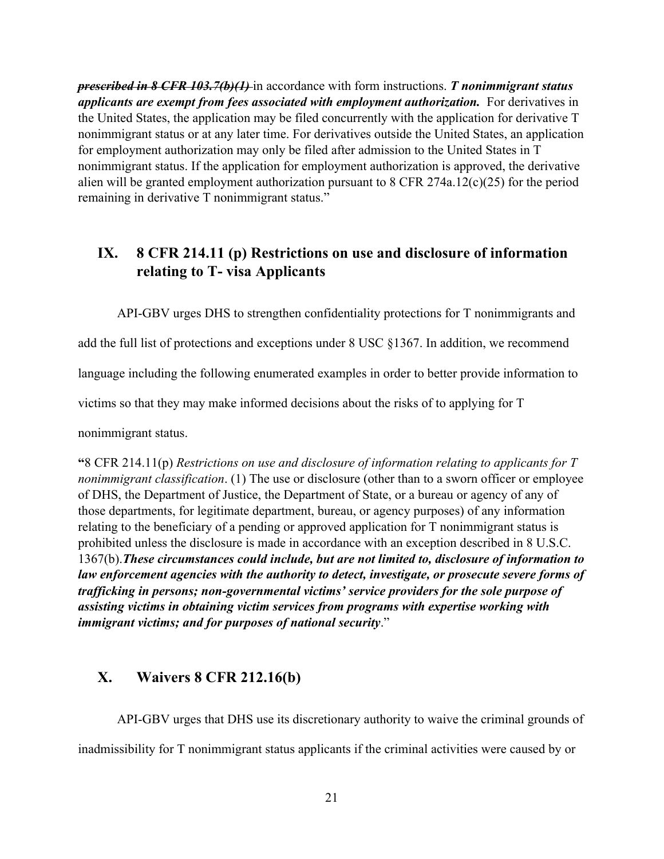*prescribed in 8 CFR 103.7(b)(1)* in accordance with form instructions. *T nonimmigrant status applicants are exempt from fees associated with employment authorization.* For derivatives in the United States, the application may be filed concurrently with the application for derivative T nonimmigrant status or at any later time. For derivatives outside the United States, an application for employment authorization may only be filed after admission to the United States in T nonimmigrant status. If the application for employment authorization is approved, the derivative alien will be granted employment authorization pursuant to 8 CFR 274a.12(c)(25) for the period remaining in derivative T nonimmigrant status."

# **IX. 8 CFR 214.11 (p) Restrictions on use and disclosure of information relating to T- visa Applicants**

API-GBV urges DHS to strengthen confidentiality protections for T nonimmigrants and

add the full list of protections and exceptions under 8 USC §1367. In addition, we recommend

language including the following enumerated examples in order to better provide information to

victims so that they may make informed decisions about the risks of to applying for T

nonimmigrant status.

**"**8 CFR 214.11(p) *Restrictions on use and disclosure of information relating to applicants for T nonimmigrant classification*. (1) The use or disclosure (other than to a sworn officer or employee of DHS, the Department of Justice, the Department of State, or a bureau or agency of any of those departments, for legitimate department, bureau, or agency purposes) of any information relating to the beneficiary of a pending or approved application for T nonimmigrant status is prohibited unless the disclosure is made in accordance with an exception described in 8 U.S.C. 1367(b).*These circumstances could include, but are not limited to, disclosure of information to law enforcement agencies with the authority to detect, investigate, or prosecute severe forms of trafficking in persons; non-governmental victims' service providers for the sole purpose of assisting victims in obtaining victim services from programs with expertise working with immigrant victims; and for purposes of national security*."

## **X. Waivers 8 CFR 212.16(b)**

API-GBV urges that DHS use its discretionary authority to waive the criminal grounds of inadmissibility for T nonimmigrant status applicants if the criminal activities were caused by or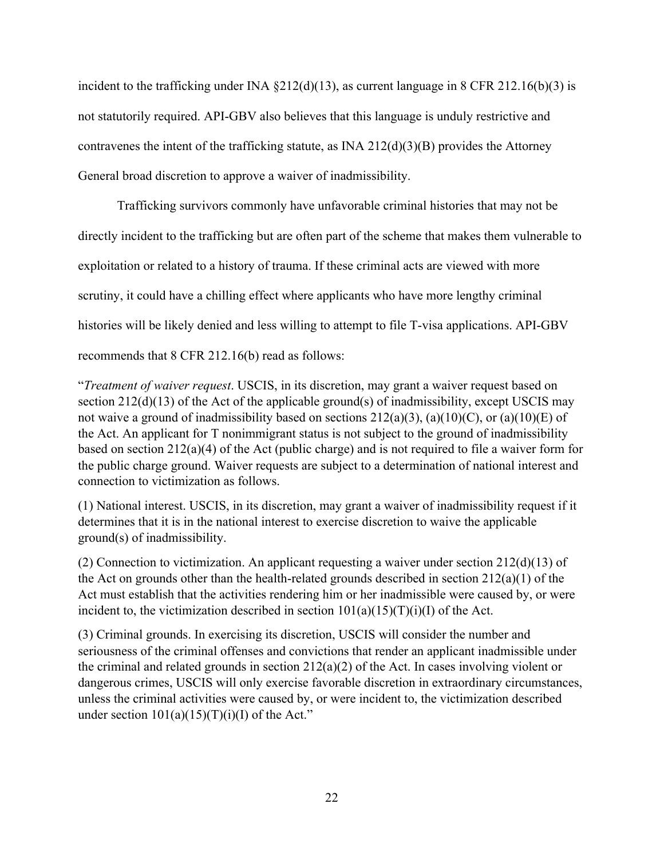incident to the trafficking under INA §212(d)(13), as current language in 8 CFR 212.16(b)(3) is not statutorily required. API-GBV also believes that this language is unduly restrictive and contravenes the intent of the trafficking statute, as INA  $212(d)(3)(B)$  provides the Attorney General broad discretion to approve a waiver of inadmissibility.

Trafficking survivors commonly have unfavorable criminal histories that may not be directly incident to the trafficking but are often part of the scheme that makes them vulnerable to exploitation or related to a history of trauma. If these criminal acts are viewed with more scrutiny, it could have a chilling effect where applicants who have more lengthy criminal histories will be likely denied and less willing to attempt to file T-visa applications. API-GBV recommends that 8 CFR 212.16(b) read as follows:

"*Treatment of waiver request*. USCIS, in its discretion, may grant a waiver request based on section 212(d)(13) of the Act of the applicable ground(s) of inadmissibility, except USCIS may not waive a ground of inadmissibility based on sections  $212(a)(3)$ ,  $(a)(10)(C)$ , or  $(a)(10)(E)$  of the Act. An applicant for T nonimmigrant status is not subject to the ground of inadmissibility based on section 212(a)(4) of the Act (public charge) and is not required to file a waiver form for the public charge ground. Waiver requests are subject to a determination of national interest and connection to victimization as follows.

(1) National interest. USCIS, in its discretion, may grant a waiver of inadmissibility request if it determines that it is in the national interest to exercise discretion to waive the applicable ground(s) of inadmissibility.

(2) Connection to victimization. An applicant requesting a waiver under section  $212(d)(13)$  of the Act on grounds other than the health-related grounds described in section 212(a)(1) of the Act must establish that the activities rendering him or her inadmissible were caused by, or were incident to, the victimization described in section  $101(a)(15)(T)(i)(I)$  of the Act.

(3) Criminal grounds. In exercising its discretion, USCIS will consider the number and seriousness of the criminal offenses and convictions that render an applicant inadmissible under the criminal and related grounds in section  $212(a)(2)$  of the Act. In cases involving violent or dangerous crimes, USCIS will only exercise favorable discretion in extraordinary circumstances, unless the criminal activities were caused by, or were incident to, the victimization described under section  $101(a)(15)(T)(i)(I)$  of the Act."